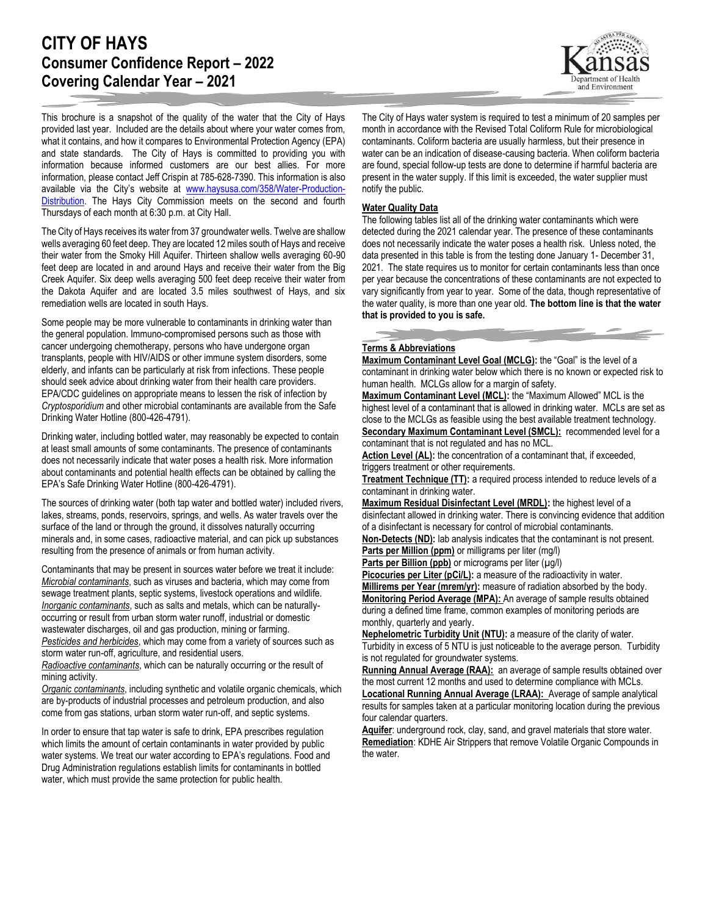# **CITY OF HAYS Consumer Confidence Report – 2022 Covering Calendar Year – 2021**

and Environment

This brochure is a snapshot of the quality of the water that the City of Hays provided last year. Included are the details about where your water comes from, what it contains, and how it compares to Environmental Protection Agency (EPA) and state standards. The City of Hays is committed to providing you with information because informed customers are our best allies. For more information, please contact Jeff Crispin at 785-628-7390. This information is also available via the City's website at [www.haysusa.com/358/Water-Production-](http://www.haysusa.com/358/Water-Production-Distribution)[Distribution.](http://www.haysusa.com/358/Water-Production-Distribution) The Hays City Commission meets on the second and fourth Thursdays of each month at 6:30 p.m. at City Hall.

The City of Hays receives its water from 37 groundwater wells. Twelve are shallow wells averaging 60 feet deep. They are located 12 miles south of Hays and receive their water from the Smoky Hill Aquifer. Thirteen shallow wells averaging 60-90 feet deep are located in and around Hays and receive their water from the Big Creek Aquifer. Six deep wells averaging 500 feet deep receive their water from the Dakota Aquifer and are located 3.5 miles southwest of Hays, and six remediation wells are located in south Hays.

Some people may be more vulnerable to contaminants in drinking water than the general population. Immuno-compromised persons such as those with cancer undergoing chemotherapy, persons who have undergone organ transplants, people with HIV/AIDS or other immune system disorders, some elderly, and infants can be particularly at risk from infections. These people should seek advice about drinking water from their health care providers. EPA/CDC guidelines on appropriate means to lessen the risk of infection by *Cryptosporidium* and other microbial contaminants are available from the Safe Drinking Water Hotline (800-426-4791).

Drinking water, including bottled water, may reasonably be expected to contain at least small amounts of some contaminants. The presence of contaminants does not necessarily indicate that water poses a health risk. More information about contaminants and potential health effects can be obtained by calling the EPA's Safe Drinking Water Hotline (800-426-4791).

The sources of drinking water (both tap water and bottled water) included rivers, lakes, streams, ponds, reservoirs, springs, and wells. As water travels over the surface of the land or through the ground, it dissolves naturally occurring minerals and, in some cases, radioactive material, and can pick up substances resulting from the presence of animals or from human activity.

Contaminants that may be present in sources water before we treat it include: *Microbial contaminants*, such as viruses and bacteria, which may come from sewage treatment plants, septic systems, livestock operations and wildlife. *Inorganic contaminants*, such as salts and metals, which can be naturallyoccurring or result from urban storm water runoff, industrial or domestic wastewater discharges, oil and gas production, mining or farming. *Pesticides and herbicides*, which may come from a variety of sources such as storm water run-off, agriculture, and residential users.

*Radioactive contaminants*, which can be naturally occurring or the result of mining activity.

*Organic contaminants*, including synthetic and volatile organic chemicals, which are by-products of industrial processes and petroleum production, and also come from gas stations, urban storm water run-off, and septic systems.

In order to ensure that tap water is safe to drink, EPA prescribes regulation which limits the amount of certain contaminants in water provided by public water systems. We treat our water according to EPA's regulations. Food and Drug Administration regulations establish limits for contaminants in bottled water, which must provide the same protection for public health.

The City of Hays water system is required to test a minimum of 20 samples per month in accordance with the Revised Total Coliform Rule for microbiological contaminants. Coliform bacteria are usually harmless, but their presence in water can be an indication of disease-causing bacteria. When coliform bacteria are found, special follow-up tests are done to determine if harmful bacteria are present in the water supply. If this limit is exceeded, the water supplier must notify the public.

#### **Water Quality Data**

The following tables list all of the drinking water contaminants which were detected during the 2021 calendar year. The presence of these contaminants does not necessarily indicate the water poses a health risk. Unless noted, the data presented in this table is from the testing done January 1- December 31, 2021. The state requires us to monitor for certain contaminants less than once per year because the concentrations of these contaminants are not expected to vary significantly from year to year. Some of the data, though representative of the water quality, is more than one year old. **The bottom line is that the water that is provided to you is safe.**

## **Terms & Abbreviations**

**Maximum Contaminant Level Goal (MCLG):** the "Goal" is the level of a contaminant in drinking water below which there is no known or expected risk to human health. MCLGs allow for a margin of safety.

**Maximum Contaminant Level (MCL):** the "Maximum Allowed" MCL is the highest level of a contaminant that is allowed in drinking water. MCLs are set as close to the MCLGs as feasible using the best available treatment technology. **Secondary Maximum Contaminant Level (SMCL):** recommended level for a contaminant that is not regulated and has no MCL.

Action Level (AL): the concentration of a contaminant that, if exceeded, triggers treatment or other requirements.

**Treatment Technique (TT):** a required process intended to reduce levels of a contaminant in drinking water.

**Maximum Residual Disinfectant Level (MRDL):** the highest level of a disinfectant allowed in drinking water. There is convincing evidence that addition of a disinfectant is necessary for control of microbial contaminants.

**Non-Detects (ND):** lab analysis indicates that the contaminant is not present. **Parts per Million (ppm)** or milligrams per liter (mg/l)

**Parts per Billion (ppb)** or micrograms per liter (µg/l)

Picocuries per Liter (pCi/L): a measure of the radioactivity in water. **Millirems per Year (mrem/yr):** measure of radiation absorbed by the body. **Monitoring Period Average (MPA):** An average of sample results obtained

during a defined time frame, common examples of monitoring periods are monthly, quarterly and yearly.

**Nephelometric Turbidity Unit (NTU):** a measure of the clarity of water. Turbidity in excess of 5 NTU is just noticeable to the average person. Turbidity is not regulated for groundwater systems.

**Running Annual Average (RAA):** an average of sample results obtained over the most current 12 months and used to determine compliance with MCLs.

**Locational Running Annual Average (LRAA):** Average of sample analytical results for samples taken at a particular monitoring location during the previous four calendar quarters.

**Aquifer**: underground rock, clay, sand, and gravel materials that store water. **Remediation**: KDHE Air Strippers that remove Volatile Organic Compounds in the water.